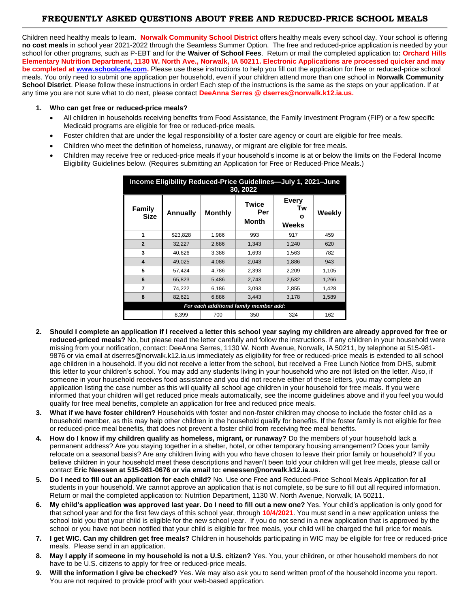# **FREQUENTLY ASKED QUESTIONS ABOUT FREE AND REDUCED-PRICE SCHOOL MEALS**

Children need healthy meals to learn. **Norwalk Community School District** offers healthy meals every school day. Your school is offering **no cost meals** in school year 2021-2022 through the Seamless Summer Option. The free and reduced-price application is needed by your school for other programs, such as P-EBT and for the **Waiver of School Fees**. Return or mail the completed application to**: Orchard Hills Elementary Nutrition Department, 1130 W. North Ave., Norwalk, IA 50211. Electronic Applications are processed quicker and may be completed at <b>www.schoolcafe.com**. Please use these instructions to help you fill out the application for free or reduced-price school meals. You only need to submit one application per household, even if your children attend more than one school in **Norwalk Community School District**. Please follow these instructions in order! Each step of the instructions is the same as the steps on your application. If at any time you are not sure what to do next, please contact **DeeAnna Serres @ dserres@norwalk.k12.ia.us.**

### **1. Who can get free or reduced-price meals?**

- All children in households receiving benefits from Food Assistance, the Family Investment Program (FIP) or a few specific Medicaid programs are eligible for free or reduced-price meals.
- Foster children that are under the legal responsibility of a foster care agency or court are eligible for free meals.
- Children who meet the definition of homeless, runaway, or migrant are eligible for free meals.
- Children may receive free or reduced-price meals if your household's income is at or below the limits on the Federal Income Eligibility Guidelines below. (Requires submitting an Application for Free or Reduced-Price Meals.)

| Income Eligibility Reduced-Price Guidelines-July 1, 2021-June<br>30, 2022 |                 |                |                              |                           |        |
|---------------------------------------------------------------------------|-----------------|----------------|------------------------------|---------------------------|--------|
| Family<br>Size                                                            | <b>Annually</b> | <b>Monthly</b> | <b>Twice</b><br>Per<br>Month | Every<br>Tw<br>C<br>Weeks | Weekly |
| 1                                                                         | \$23,828        | 1,986          | 993                          | 917                       | 459    |
| $\overline{2}$                                                            | 32,227          | 2,686          | 1,343                        | 1,240                     | 620    |
| 3                                                                         | 40,626          | 3,386          | 1,693                        | 1,563                     | 782    |
| $\overline{\mathbf{4}}$                                                   | 49.025          | 4,086          | 2,043                        | 1,886                     | 943    |
| 5                                                                         | 57,424          | 4,786          | 2,393                        | 2,209                     | 1,105  |
| 6                                                                         | 65,823          | 5,486          | 2,743                        | 2,532                     | 1,266  |
| 7                                                                         | 74,222          | 6,186          | 3,093                        | 2,855                     | 1,428  |
| 8                                                                         | 82,621          | 6,886          | 3.443                        | 3,178                     | 1,589  |
| For each additional family member add:                                    |                 |                |                              |                           |        |
|                                                                           | 8,399           | 700            | 350                          | 324                       | 162    |

- **2. Should I complete an application if I received a letter this school year saying my children are already approved for free or reduced-priced meals?** No, but please read the letter carefully and follow the instructions. If any children in your household were missing from your notification, contact: DeeAnna Serres, 1130 W. North Avenue, Norwalk, IA 50211, by telephone at 515-981- 9876 or via email at dserres@norwalk.k12.ia.us immediately as eligibility for free or reduced-price meals is extended to all school age children in a household. If you did not receive a letter from the school, but received a Free Lunch Notice from DHS, submit this letter to your children's school. You may add any students living in your household who are not listed on the letter. Also, if someone in your household receives food assistance and you did not receive either of these letters, you may complete an application listing the case number as this will qualify all school age children in your household for free meals. If you were informed that your children will get reduced price meals automatically, see the income guidelines above and if you feel you would qualify for free meal benefits, complete an application for free and reduced price meals.
- **3. What if we have foster children?** Households with foster and non-foster children may choose to include the foster child as a household member, as this may help other children in the household qualify for benefits. If the foster family is not eligible for free or reduced-price meal benefits, that does not prevent a foster child from receiving free meal benefits.
- **4. How do I know if my children qualify as homeless, migrant, or runaway?** Do the members of your household lack a permanent address? Are you staying together in a shelter, hotel, or other temporary housing arrangement? Does your family relocate on a seasonal basis? Are any children living with you who have chosen to leave their prior family or household? If you believe children in your household meet these descriptions and haven't been told your children will get free meals, please call or contact **Eric Neessen at 515-981-0676 or via email to: eneessen@norwalk.k12.ia.us**.
- **5. Do I need to fill out an application for each child?** No. Use one Free and Reduced-Price School Meals Application for all students in your household. We cannot approve an application that is not complete, so be sure to fill out all required information. Return or mail the completed application to: Nutrition Department, 1130 W. North Avenue, Norwalk, IA 50211.
- **6. My child's application was approved last year. Do I need to fill out a new one?** Yes. Your child's application is only good for that school year and for the first few days of this school year, through **10/4/2021**. You must send in a new application unless the school told you that your child is eligible for the new school year. If you do not send in a new application that is approved by the school or you have not been notified that your child is eligible for free meals, your child will be charged the full price for meals.
- **7. I get WIC. Can my children get free meals?** Children in households participating in WIC may be eligible for free or reduced-price meals. Please send in an application.
- **8. May I apply if someone in my household is not a U.S. citizen?** Yes. You, your children, or other household members do not have to be U.S. citizens to apply for free or reduced-price meals.
- **9. Will the information I give be checked?** Yes. We may also ask you to send written proof of the household income you report. You are not required to provide proof with your web-based application.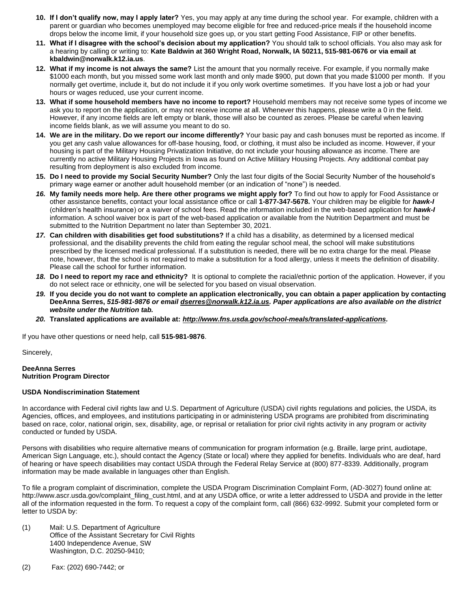- **10. If I don't qualify now, may I apply later?** Yes, you may apply at any time during the school year. For example, children with a parent or guardian who becomes unemployed may become eligible for free and reduced-price meals if the household income drops below the income limit, if your household size goes up, or you start getting Food Assistance, FIP or other benefits.
- **11. What if I disagree with the school's decision about my application?** You should talk to school officials. You also may ask for a hearing by calling or writing to: **Kate Baldwin at 360 Wright Road, Norwalk, IA 50211, 515-981-0676 or via email at kbaldwin@norwalk.k12.ia.us**.
- **12. What if my income is not always the same?** List the amount that you normally receive. For example, if you normally make \$1000 each month, but you missed some work last month and only made \$900, put down that you made \$1000 per month. If you normally get overtime, include it, but do not include it if you only work overtime sometimes. If you have lost a job or had your hours or wages reduced, use your current income.
- **13. What if some household members have no income to report?** Household members may not receive some types of income we ask you to report on the application, or may not receive income at all. Whenever this happens, please write a 0 in the field. However, if any income fields are left empty or blank, those will also be counted as zeroes. Please be careful when leaving income fields blank, as we will assume you meant to do so.
- **14. We are in the military. Do we report our income differently?** Your basic pay and cash bonuses must be reported as income. If you get any cash value allowances for off-base housing, food, or clothing, it must also be included as income. However, if your housing is part of the Military Housing Privatization Initiative, do not include your housing allowance as income. There are currently no active Military Housing Projects in Iowa as found on Active Military Housing Projects. Any additional combat pay resulting from deployment is also excluded from income.
- **15. Do I need to provide my Social Security Number?** Only the last four digits of the Social Security Number of the household's primary wage earner or another adult household member (or an indication of "none") is needed.
- *16.* **My family needs more help. Are there other programs we might apply for?** To find out how to apply for Food Assistance or other assistance benefits, contact your local assistance office or call **1-877-347-5678.** Your children may be eligible for *hawk-I* (children's health insurance) or a waiver of school fees. Read the information included in the web-based application for *hawk-I* information. A school waiver box is part of the web-based application or available from the Nutrition Department and must be submitted to the Nutrition Department no later than September 30, 2021.
- *17.* **Can children with disabilities get food substitutions?** If a child has a disability, as determined by a licensed medical professional, and the disability prevents the child from eating the regular school meal, the school will make substitutions prescribed by the licensed medical professional. If a substitution is needed, there will be no extra charge for the meal. Please note, however, that the school is not required to make a substitution for a food allergy, unless it meets the definition of disability. Please call the school for further information.
- *18.* **Do I need to report my race and ethnicity?**It is optional to complete the racial/ethnic portion of the application. However, if you do not select race or ethnicity, one will be selected for you based on visual observation.
- *19.* **If you decide you do not want to complete an application electronically, you can obtain a paper application by contacting DeeAnna Serres,** *515***-***981-9876 or email [dserres@norwalk.k12.ia.us.](mailto:dserres@norwalk.k12.ia.us) Paper applications are also available on the district website under the Nutrition tab.*
- *20.* **Translated applications are available at:** *[http://www.fns.usda.gov/school-meals/translated-applications.](http://www.fns.usda.gov/school-meals/translated-applications)*

If you have other questions or need help, call **515-981-9876**.

Sincerely,

#### **DeeAnna Serres Nutrition Program Director**

# **USDA Nondiscrimination Statement**

In accordance with Federal civil rights law and U.S. Department of Agriculture (USDA) civil rights regulations and policies, the USDA, its Agencies, offices, and employees, and institutions participating in or administering USDA programs are prohibited from discriminating based on race, color, national origin, sex, disability, age, or reprisal or retaliation for prior civil rights activity in any program or activity conducted or funded by USDA.

Persons with disabilities who require alternative means of communication for program information (e.g. Braille, large print, audiotape, American Sign Language, etc.), should contact the Agency (State or local) where they applied for benefits. Individuals who are deaf, hard of hearing or have speech disabilities may contact USDA through the Federal Relay Service at (800) 877-8339. Additionally, program information may be made available in languages other than English.

To file a program complaint of discrimination, complete the USDA Program Discrimination Complaint Form, (AD-3027) found online at: http://www.ascr.usda.gov/complaint\_filing\_cust.html, and at any USDA office, or write a letter addressed to USDA and provide in the letter all of the information requested in the form. To request a copy of the complaint form, call (866) 632-9992. Submit your completed form or letter to USDA by:

- (1) Mail: U.S. Department of Agriculture Office of the Assistant Secretary for Civil Rights 1400 Independence Avenue, SW Washington, D.C. 20250-9410;
- (2) Fax: (202) 690-7442; or